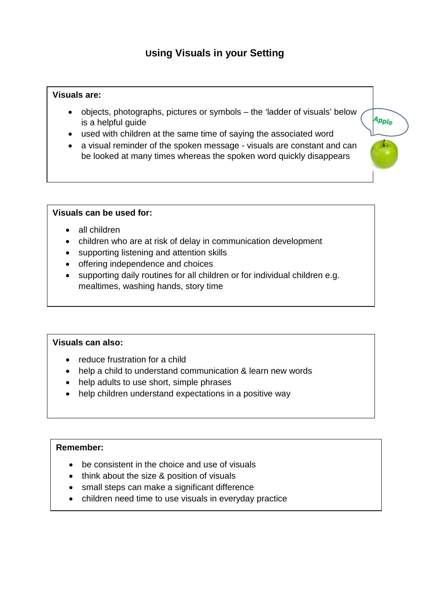# **Using Visuals in your Setting**

## **Visuals are:**

• objects, photographs, pictures or symbols – the 'ladder of visuals' below is a helpful guide

Apple

- used with children at the same time of saying the associated word
- a visual reminder of the spoken message visuals are constant and can be looked at many times whereas the spoken word quickly disappears

#### **Visuals can be used for:**

- all children
- children who are at risk of delay in communication development
- supporting listening and attention skills
- offering independence and choices
- supporting daily routines for all children or for individual children e.g. mealtimes, washing hands, story time

#### **Visuals can also:**

 $\overline{a}$ 

- reduce frustration for a child
- help a child to understand communication & learn new words
- help adults to use short, simple phrases
- help children understand expectations in a positive way

### **Remember:**

- be consistent in the choice and use of visuals
- think about the size & position of visuals
- small steps can make a significant difference
- children need time to use visuals in everyday practice